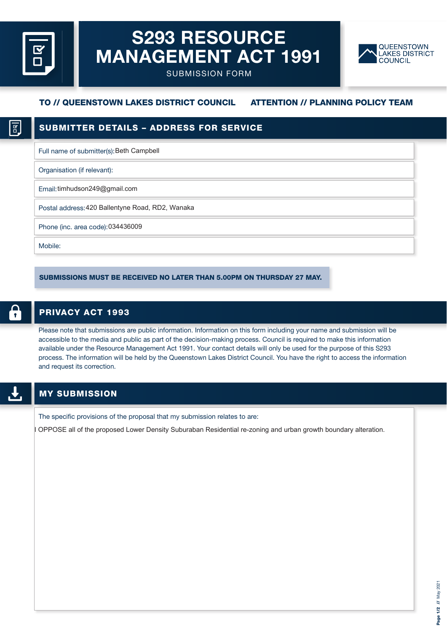# **S293 RESOURCE MANAGEMENT ACT 1991**



SUBMISSION FORM

# **TO // QUEENSTOWN LAKES DISTRICT COUNCIL ATTENTION // PLANNING POLICY TEAM**

Full name of submitter(s): Beth Campbell

Organisation (if relevant):

Email: timhudson249@gmail.com

Postal address: 420 Ballentyne Road, RD2, Wanaka

Phone (inc. area code): 034436009

Mobile:

SUBMISSIONS MUST BE RECEIVED NO LATER THAN 5.00PM ON THURSDAY 27 MAY.

## **PRIVACY ACT 1993**

Please note that submissions are public information. Information on this form including your name and submission will be accessible to the media and public as part of the decision-making process. Council is required to make this information available under the Resource Management Act 1991. Your contact details will only be used for the purpose of this S293 process. The information will be held by the Queenstown Lakes District Council. You have the right to access the information and request its correction.

The specific provisions of the proposal that my submission relates to are:

OPPOSE all of the proposed Lower Density Suburaban Residential re-zoning and urban growth boundary alteration.